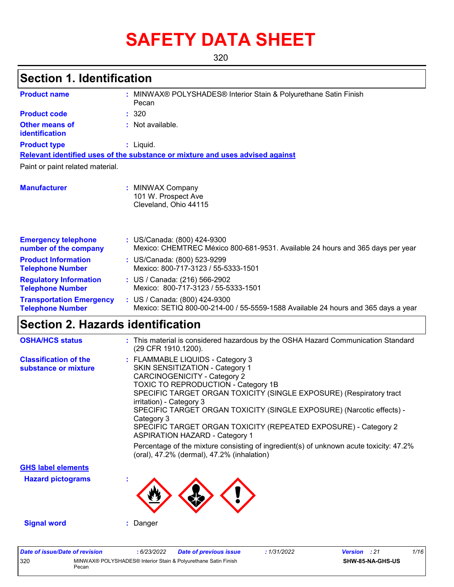# **SAFETY DATA SHEET**

320

### **Section 1. Identification**

| <b>Product name</b>                                        | : MINWAX® POLYSHADES® Interior Stain & Polyurethane Satin Finish<br>Pecan                                          |
|------------------------------------------------------------|--------------------------------------------------------------------------------------------------------------------|
| <b>Product code</b>                                        | : 320                                                                                                              |
| <b>Other means of</b><br>identification                    | : Not available.                                                                                                   |
| <b>Product type</b>                                        | : Liquid.                                                                                                          |
|                                                            | Relevant identified uses of the substance or mixture and uses advised against                                      |
| Paint or paint related material.                           |                                                                                                                    |
| <b>Manufacturer</b>                                        | <b>MINWAX Company</b><br>101 W. Prospect Ave<br>Cleveland, Ohio 44115                                              |
| <b>Emergency telephone</b><br>number of the company        | : US/Canada: (800) 424-9300<br>Mexico: CHEMTREC México 800-681-9531. Available 24 hours and 365 days per year      |
| <b>Product Information</b><br><b>Telephone Number</b>      | : US/Canada: (800) 523-9299<br>Mexico: 800-717-3123 / 55-5333-1501                                                 |
| <b>Regulatory Information</b><br><b>Telephone Number</b>   | : US / Canada: (216) 566-2902<br>Mexico: 800-717-3123 / 55-5333-1501                                               |
| <b>Transportation Emergency</b><br><b>Telephone Number</b> | : US / Canada: (800) 424-9300<br>Mexico: SETIQ 800-00-214-00 / 55-5559-1588 Available 24 hours and 365 days a year |

### **Section 2. Hazards identification**

| <b>OSHA/HCS status</b>                               | : This material is considered hazardous by the OSHA Hazard Communication Standard<br>(29 CFR 1910.1200).                                                                                                                                                                                                                                                                                                                                                                                                                                                                                        |
|------------------------------------------------------|-------------------------------------------------------------------------------------------------------------------------------------------------------------------------------------------------------------------------------------------------------------------------------------------------------------------------------------------------------------------------------------------------------------------------------------------------------------------------------------------------------------------------------------------------------------------------------------------------|
| <b>Classification of the</b><br>substance or mixture | : FLAMMABLE LIQUIDS - Category 3<br>SKIN SENSITIZATION - Category 1<br><b>CARCINOGENICITY - Category 2</b><br>TOXIC TO REPRODUCTION - Category 1B<br>SPECIFIC TARGET ORGAN TOXICITY (SINGLE EXPOSURE) (Respiratory tract<br>irritation) - Category 3<br>SPECIFIC TARGET ORGAN TOXICITY (SINGLE EXPOSURE) (Narcotic effects) -<br>Category 3<br>SPECIFIC TARGET ORGAN TOXICITY (REPEATED EXPOSURE) - Category 2<br><b>ASPIRATION HAZARD - Category 1</b><br>Percentage of the mixture consisting of ingredient(s) of unknown acute toxicity: 47.2%<br>(oral), 47.2% (dermal), 47.2% (inhalation) |
| <b>GHS label elements</b>                            |                                                                                                                                                                                                                                                                                                                                                                                                                                                                                                                                                                                                 |
| <b>Hazard pictograms</b>                             |                                                                                                                                                                                                                                                                                                                                                                                                                                                                                                                                                                                                 |
| <b>Signal word</b>                                   | Danger                                                                                                                                                                                                                                                                                                                                                                                                                                                                                                                                                                                          |

| Date of issue/Date of revision |       | : 6/23/2022 | <b>Date of previous issue</b>                                  | 1/31/2022 | <b>Version</b> : 21 |                  | 1/16 |
|--------------------------------|-------|-------------|----------------------------------------------------------------|-----------|---------------------|------------------|------|
| 320                            | Pecan |             | MINWAX® POLYSHADES® Interior Stain & Polyurethane Satin Finish |           |                     | SHW-85-NA-GHS-US |      |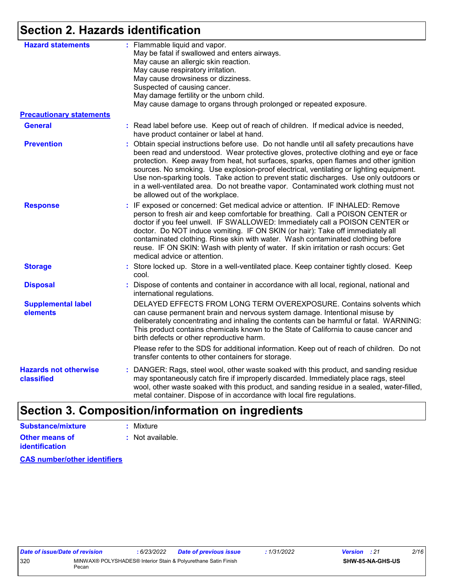### **Section 2. Hazards identification**

| <b>Hazard statements</b>                   | : Flammable liquid and vapor.<br>May be fatal if swallowed and enters airways.<br>May cause an allergic skin reaction.<br>May cause respiratory irritation.<br>May cause drowsiness or dizziness.<br>Suspected of causing cancer.<br>May damage fertility or the unborn child.<br>May cause damage to organs through prolonged or repeated exposure.                                                                                                                                                                                                                                         |
|--------------------------------------------|----------------------------------------------------------------------------------------------------------------------------------------------------------------------------------------------------------------------------------------------------------------------------------------------------------------------------------------------------------------------------------------------------------------------------------------------------------------------------------------------------------------------------------------------------------------------------------------------|
| <b>Precautionary statements</b>            |                                                                                                                                                                                                                                                                                                                                                                                                                                                                                                                                                                                              |
| <b>General</b>                             | : Read label before use. Keep out of reach of children. If medical advice is needed,<br>have product container or label at hand.                                                                                                                                                                                                                                                                                                                                                                                                                                                             |
| <b>Prevention</b>                          | : Obtain special instructions before use. Do not handle until all safety precautions have<br>been read and understood. Wear protective gloves, protective clothing and eye or face<br>protection. Keep away from heat, hot surfaces, sparks, open flames and other ignition<br>sources. No smoking. Use explosion-proof electrical, ventilating or lighting equipment.<br>Use non-sparking tools. Take action to prevent static discharges. Use only outdoors or<br>in a well-ventilated area. Do not breathe vapor. Contaminated work clothing must not<br>be allowed out of the workplace. |
| <b>Response</b>                            | : IF exposed or concerned: Get medical advice or attention. IF INHALED: Remove<br>person to fresh air and keep comfortable for breathing. Call a POISON CENTER or<br>doctor if you feel unwell. IF SWALLOWED: Immediately call a POISON CENTER or<br>doctor. Do NOT induce vomiting. IF ON SKIN (or hair): Take off immediately all<br>contaminated clothing. Rinse skin with water. Wash contaminated clothing before<br>reuse. IF ON SKIN: Wash with plenty of water. If skin irritation or rash occurs: Get<br>medical advice or attention.                                               |
| <b>Storage</b>                             | : Store locked up. Store in a well-ventilated place. Keep container tightly closed. Keep<br>cool.                                                                                                                                                                                                                                                                                                                                                                                                                                                                                            |
| <b>Disposal</b>                            | : Dispose of contents and container in accordance with all local, regional, national and<br>international regulations.                                                                                                                                                                                                                                                                                                                                                                                                                                                                       |
| <b>Supplemental label</b><br>elements      | DELAYED EFFECTS FROM LONG TERM OVEREXPOSURE. Contains solvents which<br>can cause permanent brain and nervous system damage. Intentional misuse by<br>deliberately concentrating and inhaling the contents can be harmful or fatal. WARNING:<br>This product contains chemicals known to the State of California to cause cancer and<br>birth defects or other reproductive harm.                                                                                                                                                                                                            |
|                                            | Please refer to the SDS for additional information. Keep out of reach of children. Do not<br>transfer contents to other containers for storage.                                                                                                                                                                                                                                                                                                                                                                                                                                              |
| <b>Hazards not otherwise</b><br>classified | : DANGER: Rags, steel wool, other waste soaked with this product, and sanding residue<br>may spontaneously catch fire if improperly discarded. Immediately place rags, steel<br>wool, other waste soaked with this product, and sanding residue in a sealed, water-filled,<br>metal container. Dispose of in accordance with local fire regulations.                                                                                                                                                                                                                                         |
|                                            |                                                                                                                                                                                                                                                                                                                                                                                                                                                                                                                                                                                              |

## **Section 3. Composition/information on ingredients**

| Substance/mixture     | : Mixture                   |
|-----------------------|-----------------------------|
| Other means of        | $\therefore$ Not available. |
| <i>identification</i> |                             |

**CAS number/other identifiers**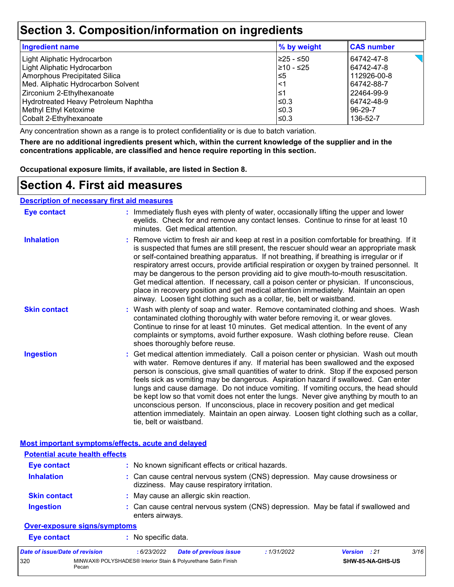### **Section 3. Composition/information on ingredients**

| Ingredient name                      | % by weight | <b>CAS number</b> |
|--------------------------------------|-------------|-------------------|
| Light Aliphatic Hydrocarbon          | 225 - ≤50   | 64742-47-8        |
| Light Aliphatic Hydrocarbon          | 210 - ≤25   | 64742-47-8        |
| Amorphous Precipitated Silica        | l≤5         | 112926-00-8       |
| Med. Aliphatic Hydrocarbon Solvent   | $<$ 1       | 64742-88-7        |
| Zirconium 2-Ethylhexanoate           | ≤1          | 22464-99-9        |
| Hydrotreated Heavy Petroleum Naphtha | l≤0.3       | 64742-48-9        |
| Methyl Ethyl Ketoxime                | l≤0.3       | 96-29-7           |
| Cobalt 2-Ethylhexanoate              | l≤0.3       | 136-52-7          |

Any concentration shown as a range is to protect confidentiality or is due to batch variation.

**There are no additional ingredients present which, within the current knowledge of the supplier and in the concentrations applicable, are classified and hence require reporting in this section.**

**Occupational exposure limits, if available, are listed in Section 8.**

### **Section 4. First aid measures**

|--|

Pecan

| <b>Eye contact</b>                                        | : Immediately flush eyes with plenty of water, occasionally lifting the upper and lower<br>eyelids. Check for and remove any contact lenses. Continue to rinse for at least 10<br>minutes. Get medical attention.                                                                                                                                                                                                                                                                                                                                                                                                                                                                                                                                       |
|-----------------------------------------------------------|---------------------------------------------------------------------------------------------------------------------------------------------------------------------------------------------------------------------------------------------------------------------------------------------------------------------------------------------------------------------------------------------------------------------------------------------------------------------------------------------------------------------------------------------------------------------------------------------------------------------------------------------------------------------------------------------------------------------------------------------------------|
| <b>Inhalation</b>                                         | : Remove victim to fresh air and keep at rest in a position comfortable for breathing. If it<br>is suspected that fumes are still present, the rescuer should wear an appropriate mask<br>or self-contained breathing apparatus. If not breathing, if breathing is irregular or if<br>respiratory arrest occurs, provide artificial respiration or oxygen by trained personnel. It<br>may be dangerous to the person providing aid to give mouth-to-mouth resuscitation.<br>Get medical attention. If necessary, call a poison center or physician. If unconscious,<br>place in recovery position and get medical attention immediately. Maintain an open<br>airway. Loosen tight clothing such as a collar, tie, belt or waistband.                    |
| <b>Skin contact</b>                                       | : Wash with plenty of soap and water. Remove contaminated clothing and shoes. Wash<br>contaminated clothing thoroughly with water before removing it, or wear gloves.<br>Continue to rinse for at least 10 minutes. Get medical attention. In the event of any<br>complaints or symptoms, avoid further exposure. Wash clothing before reuse. Clean<br>shoes thoroughly before reuse.                                                                                                                                                                                                                                                                                                                                                                   |
| <b>Ingestion</b>                                          | : Get medical attention immediately. Call a poison center or physician. Wash out mouth<br>with water. Remove dentures if any. If material has been swallowed and the exposed<br>person is conscious, give small quantities of water to drink. Stop if the exposed person<br>feels sick as vomiting may be dangerous. Aspiration hazard if swallowed. Can enter<br>lungs and cause damage. Do not induce vomiting. If vomiting occurs, the head should<br>be kept low so that vomit does not enter the lungs. Never give anything by mouth to an<br>unconscious person. If unconscious, place in recovery position and get medical<br>attention immediately. Maintain an open airway. Loosen tight clothing such as a collar,<br>tie, belt or waistband. |
| <b>Most important symptoms/effects, acute and delayed</b> |                                                                                                                                                                                                                                                                                                                                                                                                                                                                                                                                                                                                                                                                                                                                                         |
| <b>Potential acute health effects</b>                     |                                                                                                                                                                                                                                                                                                                                                                                                                                                                                                                                                                                                                                                                                                                                                         |
| <b>Eye contact</b>                                        | : No known significant effects or critical hazards.                                                                                                                                                                                                                                                                                                                                                                                                                                                                                                                                                                                                                                                                                                     |
| <b>Inhalation</b>                                         | : Can cause central nervous system (CNS) depression. May cause drowsiness or<br>dizziness. May cause respiratory irritation.                                                                                                                                                                                                                                                                                                                                                                                                                                                                                                                                                                                                                            |
| <b>Skin contact</b>                                       | : May cause an allergic skin reaction.                                                                                                                                                                                                                                                                                                                                                                                                                                                                                                                                                                                                                                                                                                                  |
| <b>Ingestion</b>                                          | : Can cause central nervous system (CNS) depression. May be fatal if swallowed and<br>enters airways.                                                                                                                                                                                                                                                                                                                                                                                                                                                                                                                                                                                                                                                   |
|                                                           |                                                                                                                                                                                                                                                                                                                                                                                                                                                                                                                                                                                                                                                                                                                                                         |
| Over-exposure signs/symptoms                              |                                                                                                                                                                                                                                                                                                                                                                                                                                                                                                                                                                                                                                                                                                                                                         |
| <b>Eye contact</b>                                        | : No specific data.                                                                                                                                                                                                                                                                                                                                                                                                                                                                                                                                                                                                                                                                                                                                     |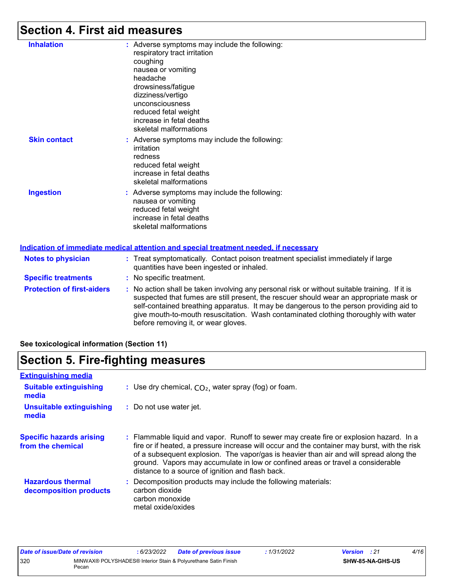## **Section 4. First aid measures**

| <b>Inhalation</b>          | : Adverse symptoms may include the following:<br>respiratory tract irritation<br>coughing<br>nausea or vomiting<br>headache<br>drowsiness/fatigue<br>dizziness/vertigo<br>unconsciousness<br>reduced fetal weight<br>increase in fetal deaths<br>skeletal malformations |
|----------------------------|-------------------------------------------------------------------------------------------------------------------------------------------------------------------------------------------------------------------------------------------------------------------------|
| <b>Skin contact</b>        | : Adverse symptoms may include the following:<br>irritation<br>redness<br>reduced fetal weight<br>increase in fetal deaths<br>skeletal malformations                                                                                                                    |
| <b>Ingestion</b>           | : Adverse symptoms may include the following:<br>nausea or vomiting<br>reduced fetal weight<br>increase in fetal deaths<br>skeletal malformations                                                                                                                       |
|                            | Indication of immediate medical attention and special treatment needed, if necessary                                                                                                                                                                                    |
| <b>Notes to physician</b>  | Treat symptomatically. Contact poison treatment specialist immediately if large<br>quantities have been ingested or inhaled.                                                                                                                                            |
| <b>Specific treatments</b> | : No specific treatment.                                                                                                                                                                                                                                                |

**Protection of first-aiders** : No action shall be taken involving any personal risk or without suitable training. If it is suspected that fumes are still present, the rescuer should wear an appropriate mask or self-contained breathing apparatus. It may be dangerous to the person providing aid to give mouth-to-mouth resuscitation. Wash contaminated clothing thoroughly with water before removing it, or wear gloves.

#### **See toxicological information (Section 11)**

### **Section 5. Fire-fighting measures**

| <b>Extinguishing media</b>                           |                                                                                                                                                                                                                                                                                                                                                                                                                          |
|------------------------------------------------------|--------------------------------------------------------------------------------------------------------------------------------------------------------------------------------------------------------------------------------------------------------------------------------------------------------------------------------------------------------------------------------------------------------------------------|
| <b>Suitable extinguishing</b><br>media               | : Use dry chemical, $CO2$ , water spray (fog) or foam.                                                                                                                                                                                                                                                                                                                                                                   |
| Unsuitable extinguishing<br>media                    | : Do not use water jet.                                                                                                                                                                                                                                                                                                                                                                                                  |
| <b>Specific hazards arising</b><br>from the chemical | : Flammable liquid and vapor. Runoff to sewer may create fire or explosion hazard. In a<br>fire or if heated, a pressure increase will occur and the container may burst, with the risk<br>of a subsequent explosion. The vapor/gas is heavier than air and will spread along the<br>ground. Vapors may accumulate in low or confined areas or travel a considerable<br>distance to a source of ignition and flash back. |
| <b>Hazardous thermal</b><br>decomposition products   | : Decomposition products may include the following materials:<br>carbon dioxide<br>carbon monoxide<br>metal oxide/oxides                                                                                                                                                                                                                                                                                                 |

| Date of issue/Date of revision |       | 6/23/2022 | <b>Date of previous issue</b>                                  | : 1/31/2022 | <b>Version</b> : 21 |                         | 4/16 |
|--------------------------------|-------|-----------|----------------------------------------------------------------|-------------|---------------------|-------------------------|------|
| 320                            | Pecan |           | MINWAX® POLYSHADES® Interior Stain & Polyurethane Satin Finish |             |                     | <b>SHW-85-NA-GHS-US</b> |      |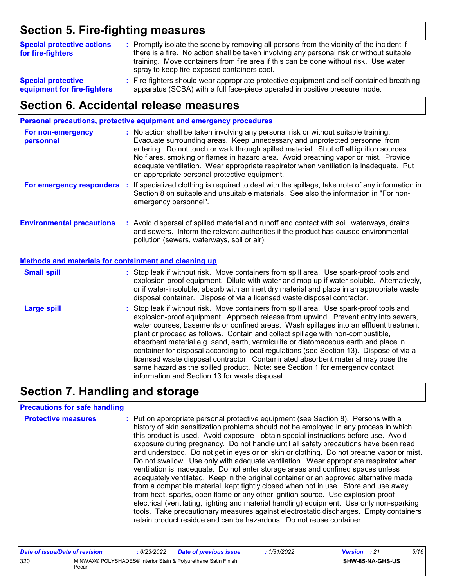## **Section 5. Fire-fighting measures**

| <b>Special protective actions</b><br>for fire-fighters | : Promptly isolate the scene by removing all persons from the vicinity of the incident if<br>there is a fire. No action shall be taken involving any personal risk or without suitable<br>training. Move containers from fire area if this can be done without risk. Use water<br>spray to keep fire-exposed containers cool. |
|--------------------------------------------------------|-------------------------------------------------------------------------------------------------------------------------------------------------------------------------------------------------------------------------------------------------------------------------------------------------------------------------------|
| <b>Special protective</b>                              | : Fire-fighters should wear appropriate protective equipment and self-contained breathing                                                                                                                                                                                                                                     |
| equipment for fire-fighters                            | apparatus (SCBA) with a full face-piece operated in positive pressure mode.                                                                                                                                                                                                                                                   |

### **Section 6. Accidental release measures**

|                                                       | Personal precautions, protective equipment and emergency procedures                                                                                                                                                                                                                                                                                                                                                                                                                                                                                                                                                                                                                                                                                                  |
|-------------------------------------------------------|----------------------------------------------------------------------------------------------------------------------------------------------------------------------------------------------------------------------------------------------------------------------------------------------------------------------------------------------------------------------------------------------------------------------------------------------------------------------------------------------------------------------------------------------------------------------------------------------------------------------------------------------------------------------------------------------------------------------------------------------------------------------|
| For non-emergency<br>personnel                        | : No action shall be taken involving any personal risk or without suitable training.<br>Evacuate surrounding areas. Keep unnecessary and unprotected personnel from<br>entering. Do not touch or walk through spilled material. Shut off all ignition sources.<br>No flares, smoking or flames in hazard area. Avoid breathing vapor or mist. Provide<br>adequate ventilation. Wear appropriate respirator when ventilation is inadequate. Put<br>on appropriate personal protective equipment.                                                                                                                                                                                                                                                                      |
| For emergency responders :                            | If specialized clothing is required to deal with the spillage, take note of any information in<br>Section 8 on suitable and unsuitable materials. See also the information in "For non-<br>emergency personnel".                                                                                                                                                                                                                                                                                                                                                                                                                                                                                                                                                     |
| <b>Environmental precautions</b>                      | : Avoid dispersal of spilled material and runoff and contact with soil, waterways, drains<br>and sewers. Inform the relevant authorities if the product has caused environmental<br>pollution (sewers, waterways, soil or air).                                                                                                                                                                                                                                                                                                                                                                                                                                                                                                                                      |
| Methods and materials for containment and cleaning up |                                                                                                                                                                                                                                                                                                                                                                                                                                                                                                                                                                                                                                                                                                                                                                      |
| <b>Small spill</b>                                    | : Stop leak if without risk. Move containers from spill area. Use spark-proof tools and<br>explosion-proof equipment. Dilute with water and mop up if water-soluble. Alternatively,<br>or if water-insoluble, absorb with an inert dry material and place in an appropriate waste<br>disposal container. Dispose of via a licensed waste disposal contractor.                                                                                                                                                                                                                                                                                                                                                                                                        |
| <b>Large spill</b>                                    | : Stop leak if without risk. Move containers from spill area. Use spark-proof tools and<br>explosion-proof equipment. Approach release from upwind. Prevent entry into sewers,<br>water courses, basements or confined areas. Wash spillages into an effluent treatment<br>plant or proceed as follows. Contain and collect spillage with non-combustible,<br>absorbent material e.g. sand, earth, vermiculite or diatomaceous earth and place in<br>container for disposal according to local regulations (see Section 13). Dispose of via a<br>licensed waste disposal contractor. Contaminated absorbent material may pose the<br>same hazard as the spilled product. Note: see Section 1 for emergency contact<br>information and Section 13 for waste disposal. |

## **Section 7. Handling and storage**

#### **Precautions for safe handling**

| <b>Protective measures</b> | : Put on appropriate personal protective equipment (see Section 8). Persons with a<br>history of skin sensitization problems should not be employed in any process in which<br>this product is used. Avoid exposure - obtain special instructions before use. Avoid<br>exposure during pregnancy. Do not handle until all safety precautions have been read<br>and understood. Do not get in eyes or on skin or clothing. Do not breathe vapor or mist.<br>Do not swallow. Use only with adequate ventilation. Wear appropriate respirator when<br>ventilation is inadequate. Do not enter storage areas and confined spaces unless<br>adequately ventilated. Keep in the original container or an approved alternative made<br>from a compatible material, kept tightly closed when not in use. Store and use away<br>from heat, sparks, open flame or any other ignition source. Use explosion-proof<br>electrical (ventilating, lighting and material handling) equipment. Use only non-sparking<br>tools. Take precautionary measures against electrostatic discharges. Empty containers |
|----------------------------|----------------------------------------------------------------------------------------------------------------------------------------------------------------------------------------------------------------------------------------------------------------------------------------------------------------------------------------------------------------------------------------------------------------------------------------------------------------------------------------------------------------------------------------------------------------------------------------------------------------------------------------------------------------------------------------------------------------------------------------------------------------------------------------------------------------------------------------------------------------------------------------------------------------------------------------------------------------------------------------------------------------------------------------------------------------------------------------------|
|                            | retain product residue and can be hazardous. Do not reuse container.                                                                                                                                                                                                                                                                                                                                                                                                                                                                                                                                                                                                                                                                                                                                                                                                                                                                                                                                                                                                                         |

| Date of issue/Date of revision |       | : 6/23/2022 | <b>Date of previous issue</b>                                  | 1/31/2022 | <b>Version</b> : 21 |                         | 5/16 |
|--------------------------------|-------|-------------|----------------------------------------------------------------|-----------|---------------------|-------------------------|------|
| 320                            | Pecan |             | MINWAX® POLYSHADES® Interior Stain & Polyurethane Satin Finish |           |                     | <b>SHW-85-NA-GHS-US</b> |      |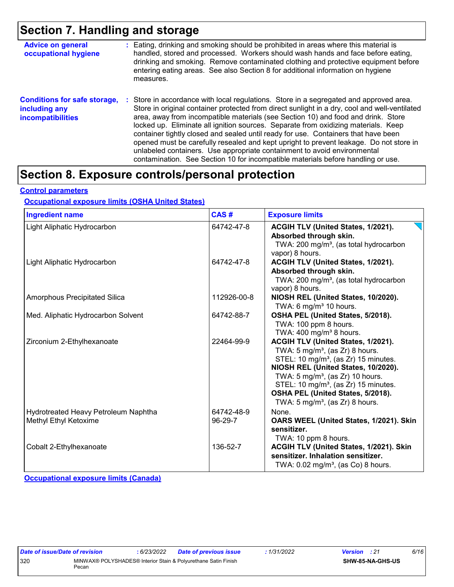### **Section 7. Handling and storage**

| <b>Advice on general</b><br>occupational hygiene                                 | : Eating, drinking and smoking should be prohibited in areas where this material is<br>handled, stored and processed. Workers should wash hands and face before eating,<br>drinking and smoking. Remove contaminated clothing and protective equipment before<br>entering eating areas. See also Section 8 for additional information on hygiene<br>measures.                                                                                                                                                                                                                                                                                                                                                      |
|----------------------------------------------------------------------------------|--------------------------------------------------------------------------------------------------------------------------------------------------------------------------------------------------------------------------------------------------------------------------------------------------------------------------------------------------------------------------------------------------------------------------------------------------------------------------------------------------------------------------------------------------------------------------------------------------------------------------------------------------------------------------------------------------------------------|
| <b>Conditions for safe storage,</b><br>including any<br><b>incompatibilities</b> | : Store in accordance with local regulations. Store in a segregated and approved area.<br>Store in original container protected from direct sunlight in a dry, cool and well-ventilated<br>area, away from incompatible materials (see Section 10) and food and drink. Store<br>locked up. Eliminate all ignition sources. Separate from oxidizing materials. Keep<br>container tightly closed and sealed until ready for use. Containers that have been<br>opened must be carefully resealed and kept upright to prevent leakage. Do not store in<br>unlabeled containers. Use appropriate containment to avoid environmental<br>contamination. See Section 10 for incompatible materials before handling or use. |

### **Section 8. Exposure controls/personal protection**

#### **Control parameters**

#### **Occupational exposure limits (OSHA United States)**

| <b>Ingredient name</b>                                        | CAS#                    | <b>Exposure limits</b>                                                                                                                                                                                                                                                                                                                                             |
|---------------------------------------------------------------|-------------------------|--------------------------------------------------------------------------------------------------------------------------------------------------------------------------------------------------------------------------------------------------------------------------------------------------------------------------------------------------------------------|
| Light Aliphatic Hydrocarbon                                   | 64742-47-8              | ACGIH TLV (United States, 1/2021).<br>Absorbed through skin.<br>TWA: 200 mg/m <sup>3</sup> , (as total hydrocarbon<br>vapor) 8 hours.                                                                                                                                                                                                                              |
| Light Aliphatic Hydrocarbon                                   | 64742-47-8              | ACGIH TLV (United States, 1/2021).<br>Absorbed through skin.<br>TWA: 200 mg/m <sup>3</sup> , (as total hydrocarbon<br>vapor) 8 hours.                                                                                                                                                                                                                              |
| Amorphous Precipitated Silica                                 | 112926-00-8             | NIOSH REL (United States, 10/2020).<br>TWA: 6 mg/m <sup>3</sup> 10 hours.                                                                                                                                                                                                                                                                                          |
| Med. Aliphatic Hydrocarbon Solvent                            | 64742-88-7              | OSHA PEL (United States, 5/2018).<br>TWA: 100 ppm 8 hours.<br>TWA: $400 \text{ mg/m}^3$ 8 hours.                                                                                                                                                                                                                                                                   |
| Zirconium 2-Ethylhexanoate                                    | 22464-99-9              | ACGIH TLV (United States, 1/2021).<br>TWA: $5 \text{ mg/m}^3$ , (as Zr) 8 hours.<br>STEL: 10 mg/m <sup>3</sup> , (as Zr) 15 minutes.<br>NIOSH REL (United States, 10/2020).<br>TWA: 5 mg/m <sup>3</sup> , (as Zr) 10 hours.<br>STEL: 10 mg/m <sup>3</sup> , (as Zr) 15 minutes.<br>OSHA PEL (United States, 5/2018).<br>TWA: $5 \text{ mg/m}^3$ , (as Zr) 8 hours. |
| Hydrotreated Heavy Petroleum Naphtha<br>Methyl Ethyl Ketoxime | 64742-48-9<br>$96-29-7$ | None.<br>OARS WEEL (United States, 1/2021). Skin<br>sensitizer.<br>TWA: 10 ppm 8 hours.                                                                                                                                                                                                                                                                            |
| Cobalt 2-Ethylhexanoate                                       | 136-52-7                | ACGIH TLV (United States, 1/2021). Skin<br>sensitizer. Inhalation sensitizer.<br>TWA: $0.02$ mg/m <sup>3</sup> , (as Co) 8 hours.                                                                                                                                                                                                                                  |

**Occupational exposure limits (Canada)**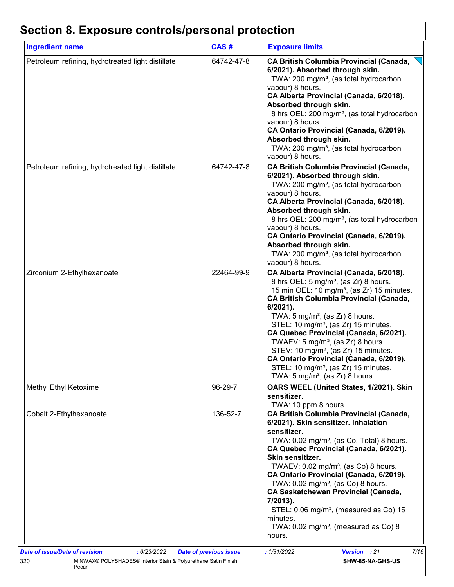## **Section 8. Exposure controls/personal protection**

| <b>Ingredient name</b>                            | CAS#       | <b>Exposure limits</b>                                                                                                                                                                                                                                                                                                                                                                                                                                                                                                                                                                                                |
|---------------------------------------------------|------------|-----------------------------------------------------------------------------------------------------------------------------------------------------------------------------------------------------------------------------------------------------------------------------------------------------------------------------------------------------------------------------------------------------------------------------------------------------------------------------------------------------------------------------------------------------------------------------------------------------------------------|
| Petroleum refining, hydrotreated light distillate | 64742-47-8 | <b>CA British Columbia Provincial (Canada,</b><br>6/2021). Absorbed through skin.<br>TWA: 200 mg/m <sup>3</sup> , (as total hydrocarbon<br>vapour) 8 hours.<br>CA Alberta Provincial (Canada, 6/2018).<br>Absorbed through skin.<br>8 hrs OEL: 200 mg/m <sup>3</sup> , (as total hydrocarbon<br>vapour) 8 hours.<br>CA Ontario Provincial (Canada, 6/2019).<br>Absorbed through skin.<br>TWA: 200 mg/m <sup>3</sup> , (as total hydrocarbon<br>vapour) 8 hours.                                                                                                                                                       |
| Petroleum refining, hydrotreated light distillate | 64742-47-8 | <b>CA British Columbia Provincial (Canada,</b><br>6/2021). Absorbed through skin.<br>TWA: 200 mg/m <sup>3</sup> , (as total hydrocarbon<br>vapour) 8 hours.<br>CA Alberta Provincial (Canada, 6/2018).<br>Absorbed through skin.<br>8 hrs OEL: 200 mg/m <sup>3</sup> , (as total hydrocarbon<br>vapour) 8 hours.<br>CA Ontario Provincial (Canada, 6/2019).<br>Absorbed through skin.<br>TWA: 200 mg/m <sup>3</sup> , (as total hydrocarbon<br>vapour) 8 hours.                                                                                                                                                       |
| Zirconium 2-Ethylhexanoate                        | 22464-99-9 | CA Alberta Provincial (Canada, 6/2018).<br>8 hrs OEL: 5 mg/m <sup>3</sup> , (as Zr) 8 hours.<br>15 min OEL: 10 mg/m <sup>3</sup> , (as Zr) 15 minutes.<br><b>CA British Columbia Provincial (Canada,</b><br>$6/2021$ ).<br>TWA: $5 \text{ mg/m}^3$ , (as Zr) 8 hours.<br>STEL: 10 mg/m <sup>3</sup> , (as Zr) 15 minutes.<br>CA Quebec Provincial (Canada, 6/2021).<br>TWAEV: $5 \text{ mg/m}^3$ , (as Zr) 8 hours.<br>STEV: 10 mg/m <sup>3</sup> , (as Zr) 15 minutes.<br>CA Ontario Provincial (Canada, 6/2019).<br>STEL: 10 mg/m <sup>3</sup> , (as Zr) 15 minutes.<br>TWA: 5 mg/m <sup>3</sup> , (as Zr) 8 hours. |
| Methyl Ethyl Ketoxime                             | 96-29-7    | OARS WEEL (United States, 1/2021). Skin<br>sensitizer.<br>TWA: 10 ppm 8 hours.                                                                                                                                                                                                                                                                                                                                                                                                                                                                                                                                        |
| Cobalt 2-Ethylhexanoate                           | 136-52-7   | <b>CA British Columbia Provincial (Canada,</b><br>6/2021). Skin sensitizer. Inhalation<br>sensitizer.<br>TWA: 0.02 mg/m <sup>3</sup> , (as Co, Total) 8 hours.<br>CA Quebec Provincial (Canada, 6/2021).<br>Skin sensitizer.<br>TWAEV: $0.02 \text{ mg/m}^3$ , (as Co) 8 hours.<br>CA Ontario Provincial (Canada, 6/2019).<br>TWA: $0.02$ mg/m <sup>3</sup> , (as Co) 8 hours.<br><b>CA Saskatchewan Provincial (Canada,</b><br>7/2013).<br>STEL: $0.06$ mg/m <sup>3</sup> , (measured as Co) 15<br>minutes.<br>TWA: $0.02$ mg/m <sup>3</sup> , (measured as Co) 8<br>hours.                                          |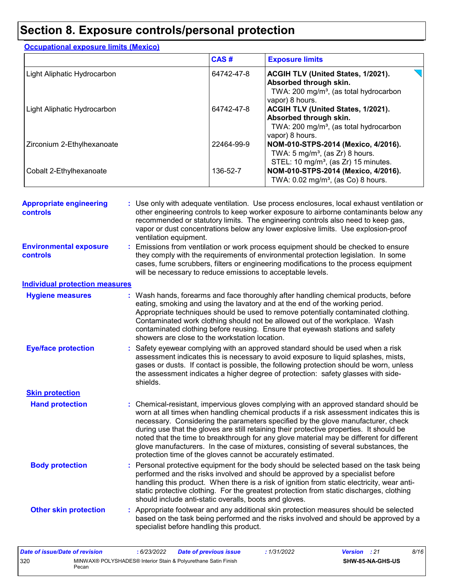### **Section 8. Exposure controls/personal protection**

|                             | CAS#       | <b>Exposure limits</b>                                                                                                                       |
|-----------------------------|------------|----------------------------------------------------------------------------------------------------------------------------------------------|
| Light Aliphatic Hydrocarbon | 64742-47-8 | <b>ACGIH TLV (United States, 1/2021).</b><br>Absorbed through skin.<br>TWA: 200 mg/m <sup>3</sup> , (as total hydrocarbon<br>vapor) 8 hours. |
| Light Aliphatic Hydrocarbon | 64742-47-8 | ACGIH TLV (United States, 1/2021).<br>Absorbed through skin.<br>TWA: 200 mg/m <sup>3</sup> , (as total hydrocarbon<br>vapor) 8 hours.        |
| Zirconium 2-Ethylhexanoate  | 22464-99-9 | NOM-010-STPS-2014 (Mexico, 4/2016).<br>TWA: $5 \text{ mg/m}^3$ , (as Zr) 8 hours.<br>STEL: 10 mg/m <sup>3</sup> , (as Zr) 15 minutes.        |
| Cobalt 2-Ethylhexanoate     | 136-52-7   | NOM-010-STPS-2014 (Mexico, 4/2016).<br>TWA: 0.02 mg/m <sup>3</sup> , (as Co) 8 hours.                                                        |

**Hand protection** : Chemical-resistant, impervious gloves complying with an approved standard should be **inverted** worn at all times when handling chemical products if a risk assessment indicates this is necessary. Considering the parameters specified by the glove manufacturer, check during use that the gloves are still retaining their protective properties. It should be noted that the time to breakthrough for any glove material may be different for different glove manufacturers. In the case of mixtures, consisting of several substances, the protection time of the gloves cannot be accurately estimated. Safety eyewear complying with an approved standard should be used when a risk **:** assessment indicates this is necessary to avoid exposure to liquid splashes, mists, gases or dusts. If contact is possible, the following protection should be worn, unless the assessment indicates a higher degree of protection: safety glasses with sideshields. **Eye/face protection Body protection** : Personal protective equipment for the body should be selected based on the task being **Body** performed and the risks involved and should be approved by a specialist before handling this product. When there is a risk of ignition from static electricity, wear antistatic protective clothing. For the greatest protection from static discharges, clothing should include anti-static overalls, boots and gloves. Emissions from ventilation or work process equipment should be checked to ensure **:** they comply with the requirements of environmental protection legislation. In some cases, fume scrubbers, filters or engineering modifications to the process equipment will be necessary to reduce emissions to acceptable levels. **Appropriate engineering controls :** Use only with adequate ventilation. Use process enclosures, local exhaust ventilation or other engineering controls to keep worker exposure to airborne contaminants below any recommended or statutory limits. The engineering controls also need to keep gas, vapor or dust concentrations below any lower explosive limits. Use explosion-proof ventilation equipment. Wash hands, forearms and face thoroughly after handling chemical products, before eating, smoking and using the lavatory and at the end of the working period. Appropriate techniques should be used to remove potentially contaminated clothing. Contaminated work clothing should not be allowed out of the workplace. Wash contaminated clothing before reusing. Ensure that eyewash stations and safety showers are close to the workstation location. **Hygiene measures : Individual protection measures Skin protection Other skin protection :** Appropriate footwear and any additional skin protection measures should be selected based on the task being performed and the risks involved and should be approved by a specialist before handling this product. **Environmental exposure controls**

| Date of issue/Date of revision |       | : 6/23/2022 | <b>Date of previous issue</b>                                  | : 1/31/2022 | <b>Version</b> : 21 |                         | 8/16 |
|--------------------------------|-------|-------------|----------------------------------------------------------------|-------------|---------------------|-------------------------|------|
| 320                            | Pecan |             | MINWAX® POLYSHADES® Interior Stain & Polyurethane Satin Finish |             |                     | <b>SHW-85-NA-GHS-US</b> |      |

**Occupational exposure limits (Mexico)**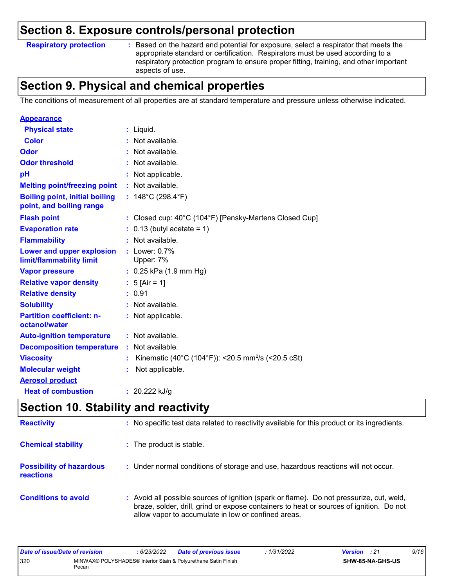### **Section 8. Exposure controls/personal protection**

**Respiratory protection :**

Based on the hazard and potential for exposure, select a respirator that meets the appropriate standard or certification. Respirators must be used according to a respiratory protection program to ensure proper fitting, training, and other important aspects of use.

### **Section 9. Physical and chemical properties**

The conditions of measurement of all properties are at standard temperature and pressure unless otherwise indicated.

| <b>Appearance</b>                                                 |                                                                |
|-------------------------------------------------------------------|----------------------------------------------------------------|
| <b>Physical state</b>                                             | $:$ Liquid.                                                    |
| Color                                                             | Not available.                                                 |
| Odor                                                              | Not available.                                                 |
| <b>Odor threshold</b>                                             | : Not available.                                               |
| pH                                                                | : Not applicable.                                              |
| <b>Melting point/freezing point</b>                               | : Not available.                                               |
| <b>Boiling point, initial boiling</b><br>point, and boiling range | : $148^{\circ}$ C (298.4 $^{\circ}$ F)                         |
| <b>Flash point</b>                                                | : Closed cup: 40°C (104°F) [Pensky-Martens Closed Cup]         |
| <b>Evaporation rate</b>                                           | $0.13$ (butyl acetate = 1)                                     |
| <b>Flammability</b>                                               | : Not available.                                               |
| Lower and upper explosion<br>limit/flammability limit             | $:$ Lower: $0.7\%$<br>Upper: 7%                                |
| <b>Vapor pressure</b>                                             | $: 0.25$ kPa (1.9 mm Hg)                                       |
| <b>Relative vapor density</b>                                     | : $5$ [Air = 1]                                                |
| <b>Relative density</b>                                           | : 0.91                                                         |
| <b>Solubility</b>                                                 | : Not available.                                               |
| <b>Partition coefficient: n-</b><br>octanol/water                 | : Not applicable.                                              |
| <b>Auto-ignition temperature</b>                                  | $:$ Not available.                                             |
| <b>Decomposition temperature</b>                                  | : Not available.                                               |
| <b>Viscosity</b>                                                  | Kinematic (40°C (104°F)): <20.5 mm <sup>2</sup> /s (<20.5 cSt) |
| <b>Molecular weight</b>                                           | Not applicable.                                                |
| <b>Aerosol product</b>                                            |                                                                |
| <b>Heat of combustion</b>                                         | : $20.222$ kJ/g                                                |

### **Section 10. Stability and reactivity**

| <b>Reactivity</b>                            | : No specific test data related to reactivity available for this product or its ingredients.                                                                                                                                               |
|----------------------------------------------|--------------------------------------------------------------------------------------------------------------------------------------------------------------------------------------------------------------------------------------------|
| <b>Chemical stability</b>                    | : The product is stable.                                                                                                                                                                                                                   |
| <b>Possibility of hazardous</b><br>reactions | : Under normal conditions of storage and use, hazardous reactions will not occur.                                                                                                                                                          |
| <b>Conditions to avoid</b>                   | : Avoid all possible sources of ignition (spark or flame). Do not pressurize, cut, weld,<br>braze, solder, drill, grind or expose containers to heat or sources of ignition. Do not<br>allow vapor to accumulate in low or confined areas. |

| Date of issue/Date of revision |       | : 6/23/2022 | <b>Date of previous issue</b>                                  | 1/31/2022 | <b>Version</b> : 21 |                  | 9/16 |
|--------------------------------|-------|-------------|----------------------------------------------------------------|-----------|---------------------|------------------|------|
| 320                            | Pecan |             | MINWAX® POLYSHADES® Interior Stain & Polyurethane Satin Finish |           |                     | SHW-85-NA-GHS-US |      |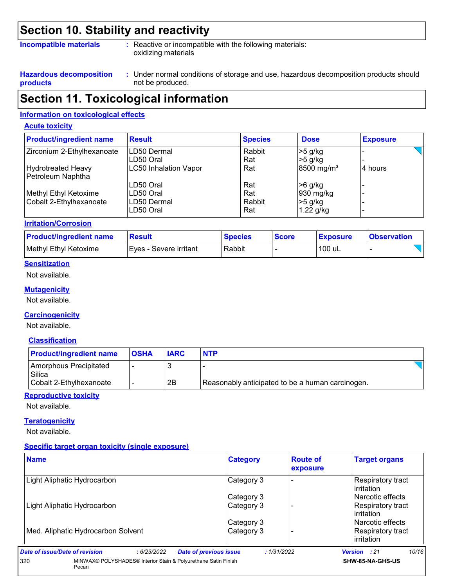### **Section 10. Stability and reactivity**

#### **Incompatible materials :**

: Reactive or incompatible with the following materials: oxidizing materials

**Hazardous decomposition products**

Under normal conditions of storage and use, hazardous decomposition products should **:** not be produced.

### **Section 11. Toxicological information**

#### **Information on toxicological effects**

#### **Acute toxicity**

| <b>Product/ingredient name</b> | <b>Result</b>                | <b>Species</b> | <b>Dose</b>              | <b>Exposure</b> |
|--------------------------------|------------------------------|----------------|--------------------------|-----------------|
| Zirconium 2-Ethylhexanoate     | <b>ILD50 Dermal</b>          | Rabbit         | $>5$ g/kg                |                 |
|                                | LD50 Oral                    | Rat            | $>5$ g/kg                |                 |
| <b>Hydrotreated Heavy</b>      | <b>LC50 Inhalation Vapor</b> | Rat            | $8500$ mg/m <sup>3</sup> | ⊦4 hours        |
| Petroleum Naphtha              |                              |                |                          |                 |
|                                | LD50 Oral                    | Rat            | $>6$ g/kg                |                 |
| Methyl Ethyl Ketoxime          | ILD50 Oral                   | Rat            | 930 mg/kg                |                 |
| Cobalt 2-Ethylhexanoate        | LD50 Dermal                  | Rabbit         | $>5$ g/kg                |                 |
|                                | LD50 Oral                    | Rat            | 1.22 g/kg                |                 |

#### **Irritation/Corrosion**

| <b>Product/ingredient name</b> | Result                   | <b>Species</b> | <b>Score</b> | <b>Exposure</b> | <b>Observation</b> |
|--------------------------------|--------------------------|----------------|--------------|-----------------|--------------------|
| Methyl Ethyl Ketoxime          | I Eves - Severe irritant | Rabbit         |              | 100 uL          |                    |

#### **Sensitization**

Not available.

#### **Mutagenicity**

Not available.

#### **Carcinogenicity**

Not available.

#### **Classification**

| <b>Product/ingredient name</b>   | <b>OSHA</b> | <b>IARC</b> | <b>NTP</b>                                       |  |
|----------------------------------|-------------|-------------|--------------------------------------------------|--|
| Amorphous Precipitated<br>Silica |             |             |                                                  |  |
| Cobalt 2-Ethylhexanoate          |             | 2B          | Reasonably anticipated to be a human carcinogen. |  |

#### **Reproductive toxicity**

Not available.

#### **Teratogenicity**

Not available.

#### **Specific target organ toxicity (single exposure)**

| <b>Name</b>                                                                    | <b>Category</b>               | <b>Route of</b><br>exposure | <b>Target organs</b>            |
|--------------------------------------------------------------------------------|-------------------------------|-----------------------------|---------------------------------|
| Light Aliphatic Hydrocarbon                                                    | Category 3                    |                             | Respiratory tract<br>irritation |
|                                                                                | Category 3                    |                             | l Narcotic effects              |
| Light Aliphatic Hydrocarbon                                                    | Category 3                    |                             | Respiratory tract<br>irritation |
|                                                                                | Category 3                    |                             | l Narcotic effects              |
| Med. Aliphatic Hydrocarbon Solvent                                             | Category 3                    |                             | Respiratory tract<br>irritation |
| Date of issue/Date of revision<br>: 6/23/2022                                  | <b>Date of previous issue</b> | : 1/31/2022                 | 10/16<br><b>Version</b> : 21    |
| MINWAX® POLYSHADES® Interior Stain & Polyurethane Satin Finish<br>320<br>Pecan |                               |                             | SHW-85-NA-GHS-US                |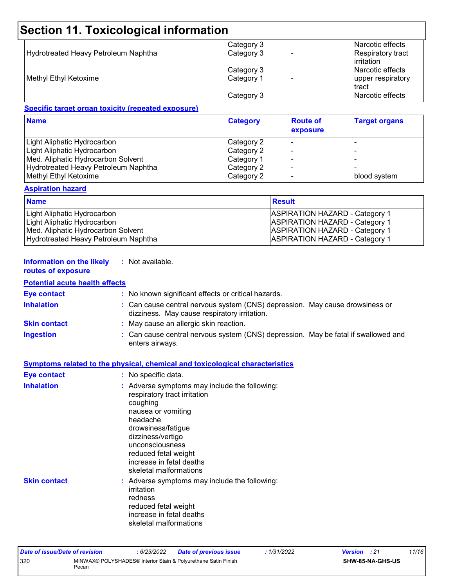## **Section 11. Toxicological information**

|                                      | Category 3 | Narcotic effects                         |
|--------------------------------------|------------|------------------------------------------|
| Hydrotreated Heavy Petroleum Naphtha | Category 3 | <b>Respiratory tract</b><br>l irritation |
|                                      | Category 3 | l Narcotic effects                       |
| Methyl Ethyl Ketoxime                | Category 1 | upper respiratory<br>tract               |
|                                      | Category 3 | Narcotic effects                         |

#### **Specific target organ toxicity (repeated exposure)**

| <b>Name</b>                          | <b>Category</b> | <b>Route of</b><br>exposure | <b>Target organs</b> |
|--------------------------------------|-----------------|-----------------------------|----------------------|
| Light Aliphatic Hydrocarbon          | Category 2      |                             |                      |
| Light Aliphatic Hydrocarbon          | Category 2      |                             |                      |
| Med. Aliphatic Hydrocarbon Solvent   | Category 1      |                             |                      |
| Hydrotreated Heavy Petroleum Naphtha | Category 2      |                             |                      |
| Methyl Ethyl Ketoxime                | Category 2      |                             | blood system         |

#### **Aspiration hazard**

| <b>Name</b>                          | Result                                |
|--------------------------------------|---------------------------------------|
| Light Aliphatic Hydrocarbon          | <b>ASPIRATION HAZARD - Category 1</b> |
| Light Aliphatic Hydrocarbon          | <b>ASPIRATION HAZARD - Category 1</b> |
| Med. Aliphatic Hydrocarbon Solvent   | <b>ASPIRATION HAZARD - Category 1</b> |
| Hydrotreated Heavy Petroleum Naphtha | <b>ASPIRATION HAZARD - Category 1</b> |

#### **Information on the likely :** Not available.

### **routes of exposure**

#### **Potential acute health effects**

| <b>Eye contact</b>  | : No known significant effects or critical hazards.                                                                          |
|---------------------|------------------------------------------------------------------------------------------------------------------------------|
| <b>Inhalation</b>   | : Can cause central nervous system (CNS) depression. May cause drowsiness or<br>dizziness. May cause respiratory irritation. |
| <b>Skin contact</b> | : May cause an allergic skin reaction.                                                                                       |
| <b>Ingestion</b>    | : Can cause central nervous system (CNS) depression. May be fatal if swallowed and<br>enters airways.                        |

|                     | <b>Symptoms related to the physical, chemical and toxicological characteristics</b>                                                                                                                                                                                     |
|---------------------|-------------------------------------------------------------------------------------------------------------------------------------------------------------------------------------------------------------------------------------------------------------------------|
| <b>Eye contact</b>  | : No specific data.                                                                                                                                                                                                                                                     |
| <b>Inhalation</b>   | : Adverse symptoms may include the following:<br>respiratory tract irritation<br>coughing<br>nausea or vomiting<br>headache<br>drowsiness/fatigue<br>dizziness/vertigo<br>unconsciousness<br>reduced fetal weight<br>increase in fetal deaths<br>skeletal malformations |
| <b>Skin contact</b> | : Adverse symptoms may include the following:<br>irritation<br>redness<br>reduced fetal weight<br>increase in fetal deaths                                                                                                                                              |

skeletal malformations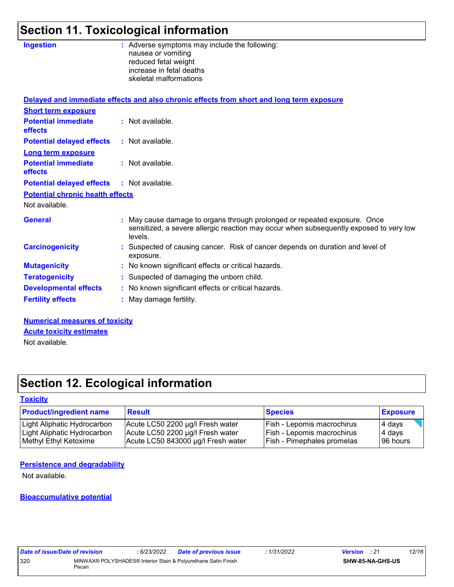## **Section 11. Toxicological information**

| <b>Ingestion</b>                        | : Adverse symptoms may include the following:<br>nausea or vomiting<br>reduced fetal weight<br>increase in fetal deaths<br>skeletal malformations                              |
|-----------------------------------------|--------------------------------------------------------------------------------------------------------------------------------------------------------------------------------|
|                                         | Delayed and immediate effects and also chronic effects from short and long term exposure                                                                                       |
| <b>Short term exposure</b>              |                                                                                                                                                                                |
| <b>Potential immediate</b><br>effects   | : Not available.                                                                                                                                                               |
| <b>Potential delayed effects</b>        | : Not available.                                                                                                                                                               |
| <b>Long term exposure</b>               |                                                                                                                                                                                |
| <b>Potential immediate</b><br>effects   | : Not available.                                                                                                                                                               |
| <b>Potential delayed effects</b>        | : Not available.                                                                                                                                                               |
| <b>Potential chronic health effects</b> |                                                                                                                                                                                |
| Not available.                          |                                                                                                                                                                                |
| <b>General</b>                          | : May cause damage to organs through prolonged or repeated exposure. Once<br>sensitized, a severe allergic reaction may occur when subsequently exposed to very low<br>levels. |
| <b>Carcinogenicity</b>                  | : Suspected of causing cancer. Risk of cancer depends on duration and level of<br>exposure.                                                                                    |
| <b>Mutagenicity</b>                     | : No known significant effects or critical hazards.                                                                                                                            |
| <b>Teratogenicity</b>                   | : Suspected of damaging the unborn child.                                                                                                                                      |
| <b>Developmental effects</b>            | : No known significant effects or critical hazards.                                                                                                                            |
| <b>Fertility effects</b>                | : May damage fertility.                                                                                                                                                        |
| Numerical measonness of taxisity        |                                                                                                                                                                                |

**Numerical measures of toxicity** Not available. **Acute toxicity estimates**

## **Section 12. Ecological information**

#### **Toxicity**

| <b>Product/ingredient name</b> | <b>Result</b>                      | <b>Species</b>                    | <b>Exposure</b> |
|--------------------------------|------------------------------------|-----------------------------------|-----------------|
| Light Aliphatic Hydrocarbon    | Acute LC50 2200 µg/l Fresh water   | <b>Fish - Lepomis macrochirus</b> | $4$ days        |
| Light Aliphatic Hydrocarbon    | Acute LC50 2200 µg/l Fresh water   | <b>Fish - Lepomis macrochirus</b> | 4 days          |
| Methyl Ethyl Ketoxime          | Acute LC50 843000 µg/l Fresh water | <b>Fish - Pimephales promelas</b> | 196 hours       |

#### **Persistence and degradability**

Not available.

#### **Bioaccumulative potential**

| Date of issue/Date of revision |       | 6/23/2022 | <b>Date of previous issue</b>                                  | : 1/31/2022 | <b>Version</b> : 21 |                  | 12/16 |
|--------------------------------|-------|-----------|----------------------------------------------------------------|-------------|---------------------|------------------|-------|
| 320                            | Pecan |           | MINWAX® POLYSHADES® Interior Stain & Polyurethane Satin Finish |             |                     | SHW-85-NA-GHS-US |       |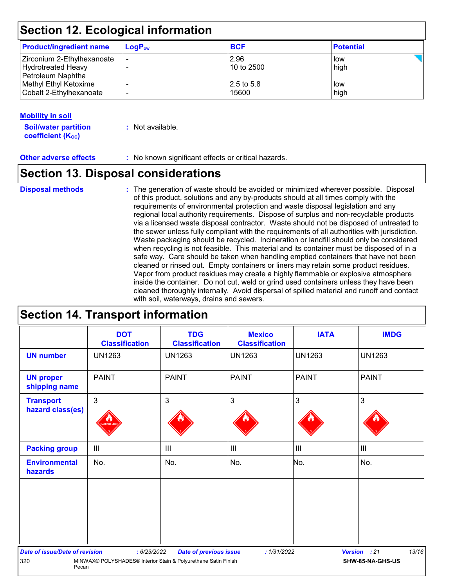### **Section 12. Ecological information**

| <b>Product/ingredient name</b> | $LogP_{ow}$ | <b>BCF</b>  | <b>Potential</b> |
|--------------------------------|-------------|-------------|------------------|
| Zirconium 2-Ethylhexanoate     |             | 2.96        | low              |
| Hydrotreated Heavy             |             | 10 to 2500  | high             |
| Petroleum Naphtha              |             |             |                  |
| Methyl Ethyl Ketoxime          |             | 12.5 to 5.8 | low              |
| Cobalt 2-Ethylhexanoate        | -           | 15600       | high             |

#### **Mobility in soil**

**Soil/water partition coefficient (KOC) :** Not available.

**Other adverse effects** : No known significant effects or critical hazards.

### **Section 13. Disposal considerations**

#### **Disposal methods :**

The generation of waste should be avoided or minimized wherever possible. Disposal of this product, solutions and any by-products should at all times comply with the requirements of environmental protection and waste disposal legislation and any regional local authority requirements. Dispose of surplus and non-recyclable products via a licensed waste disposal contractor. Waste should not be disposed of untreated to the sewer unless fully compliant with the requirements of all authorities with jurisdiction. Waste packaging should be recycled. Incineration or landfill should only be considered when recycling is not feasible. This material and its container must be disposed of in a safe way. Care should be taken when handling emptied containers that have not been cleaned or rinsed out. Empty containers or liners may retain some product residues. Vapor from product residues may create a highly flammable or explosive atmosphere inside the container. Do not cut, weld or grind used containers unless they have been cleaned thoroughly internally. Avoid dispersal of spilled material and runoff and contact with soil, waterways, drains and sewers.

### **Section 14. Transport information**

|                                       | <b>DOT</b><br><b>Classification</b>                            | <b>TDG</b><br><b>Classification</b> | <b>Mexico</b><br><b>Classification</b> | <b>IATA</b>    | <b>IMDG</b>                           |
|---------------------------------------|----------------------------------------------------------------|-------------------------------------|----------------------------------------|----------------|---------------------------------------|
| <b>UN number</b>                      | <b>UN1263</b>                                                  | <b>UN1263</b>                       | <b>UN1263</b>                          | <b>UN1263</b>  | <b>UN1263</b>                         |
| <b>UN proper</b><br>shipping name     | <b>PAINT</b>                                                   | <b>PAINT</b>                        | <b>PAINT</b>                           | <b>PAINT</b>   | <b>PAINT</b>                          |
| <b>Transport</b><br>hazard class(es)  | $\mathbf{3}$                                                   | $\mathbf{3}$                        | 3                                      | $\mathbf{3}$   | 3                                     |
| <b>Packing group</b>                  | $\mathbf{III}$                                                 | $\mathbf{III}$                      | $\mathbf{III}$                         | $\mathsf{III}$ | $\begin{array}{c} \hline \end{array}$ |
| <b>Environmental</b><br>hazards       | No.                                                            | No.                                 | No.                                    | No.            | No.                                   |
|                                       |                                                                |                                     |                                        |                |                                       |
|                                       |                                                                |                                     |                                        |                |                                       |
| <b>Date of issue/Date of revision</b> | : 6/23/2022                                                    | <b>Date of previous issue</b>       | : 1/31/2022                            |                | 13/16<br>Version : 21                 |
| 320<br>Pecan                          | MINWAX® POLYSHADES® Interior Stain & Polyurethane Satin Finish |                                     |                                        |                | SHW-85-NA-GHS-US                      |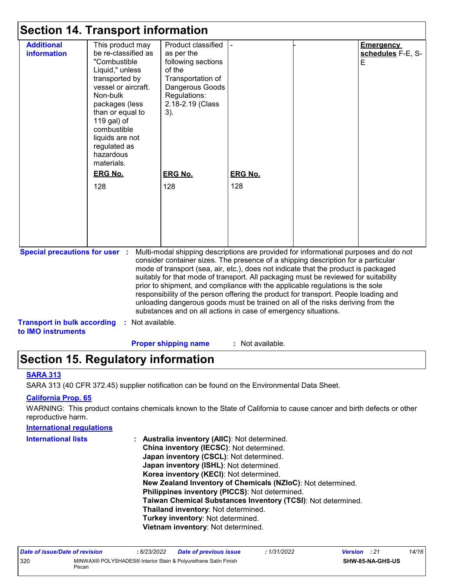### **Section 14. Transport information**

|                                         | 00000011 17. 1100190010 111101111001011                                                                                                                                                                                                                                                    |                                                                                                                                                                                                                                                                                                                                                        |                       |                                            |
|-----------------------------------------|--------------------------------------------------------------------------------------------------------------------------------------------------------------------------------------------------------------------------------------------------------------------------------------------|--------------------------------------------------------------------------------------------------------------------------------------------------------------------------------------------------------------------------------------------------------------------------------------------------------------------------------------------------------|-----------------------|--------------------------------------------|
| <b>Additional</b><br><b>information</b> | This product may<br>be re-classified as<br>"Combustible<br>Liquid," unless<br>transported by<br>vessel or aircraft.<br>Non-bulk<br>packages (less<br>than or equal to<br>119 gal) of<br>combustible<br>liquids are not<br>regulated as<br>hazardous<br>materials.<br><b>ERG No.</b><br>128 | Product classified<br>as per the<br>following sections<br>of the<br>Transportation of<br>Dangerous Goods<br>Regulations:<br>2.18-2.19 (Class<br>3).<br><b>ERG No.</b><br>128                                                                                                                                                                           | <b>ERG No.</b><br>128 | <b>Emergency</b><br>schedules F-E, S-<br>E |
| <b>Special precautions for user :</b>   |                                                                                                                                                                                                                                                                                            | Multi-modal shipping descriptions are provided for informational purposes and do not<br>consider container sizes. The presence of a shipping description for a particular<br>mode of transport (sea, air, etc.), does not indicate that the product is packaged<br>suitably for that mode of transport. All packaging must be reviewed for suitability |                       |                                            |
|                                         |                                                                                                                                                                                                                                                                                            | prior to shipment, and compliance with the applicable regulations is the sole<br>responsibility of the person offering the product for transport. People loading and<br>unloading dangerous goods must be trained on all of the risks deriving from the<br>substances and on all actions in case of emergency situations.                              |                       |                                            |

**Transport in bulk according :** Not available.

**to IMO instruments**

**Proper shipping name :**

: Not available.

### **Section 15. Regulatory information**

#### **SARA 313**

SARA 313 (40 CFR 372.45) supplier notification can be found on the Environmental Data Sheet.

#### **California Prop. 65**

WARNING: This product contains chemicals known to the State of California to cause cancer and birth defects or other reproductive harm.

## **International regulations International lists :**

**Australia inventory (AIIC)**: Not determined. **China inventory (IECSC)**: Not determined. **Japan inventory (CSCL)**: Not determined. **Japan inventory (ISHL)**: Not determined. **Korea inventory (KECI)**: Not determined. **New Zealand Inventory of Chemicals (NZIoC)**: Not determined. **Philippines inventory (PICCS)**: Not determined. **Taiwan Chemical Substances Inventory (TCSI)**: Not determined. **Thailand inventory**: Not determined. **Turkey inventory**: Not determined. **Vietnam inventory**: Not determined.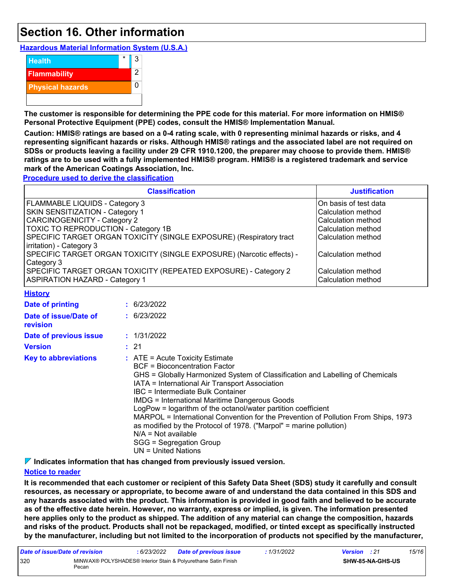### **Section 16. Other information**

**Hazardous Material Information System (U.S.A.)**



**The customer is responsible for determining the PPE code for this material. For more information on HMIS® Personal Protective Equipment (PPE) codes, consult the HMIS® Implementation Manual.**

**Caution: HMIS® ratings are based on a 0-4 rating scale, with 0 representing minimal hazards or risks, and 4 representing significant hazards or risks. Although HMIS® ratings and the associated label are not required on SDSs or products leaving a facility under 29 CFR 1910.1200, the preparer may choose to provide them. HMIS® ratings are to be used with a fully implemented HMIS® program. HMIS® is a registered trademark and service mark of the American Coatings Association, Inc.**

**Procedure used to derive the classification**

| <b>Classification</b>                                                                                    | <b>Justification</b>                       |
|----------------------------------------------------------------------------------------------------------|--------------------------------------------|
| <b>FLAMMABLE LIQUIDS - Category 3</b>                                                                    | On basis of test data                      |
| <b>SKIN SENSITIZATION - Category 1</b>                                                                   | Calculation method                         |
| <b>CARCINOGENICITY - Category 2</b>                                                                      | Calculation method                         |
| TOXIC TO REPRODUCTION - Category 1B                                                                      | Calculation method                         |
| SPECIFIC TARGET ORGAN TOXICITY (SINGLE EXPOSURE) (Respiratory tract<br>irritation) - Category 3          | Calculation method                         |
| SPECIFIC TARGET ORGAN TOXICITY (SINGLE EXPOSURE) (Narcotic effects) -<br>Category 3                      | lCalculation method                        |
| SPECIFIC TARGET ORGAN TOXICITY (REPEATED EXPOSURE) - Category 2<br><b>ASPIRATION HAZARD - Category 1</b> | l Calculation method<br>Calculation method |

|  |  |  |  |  |  |  |  |  |  |  |  |  |  |  |  |  |  |  |  |  |  |  |  |  |  |  |  |  |  |  |  |  |  |  |  | <b>History</b> |  |  |  |  |  |  |
|--|--|--|--|--|--|--|--|--|--|--|--|--|--|--|--|--|--|--|--|--|--|--|--|--|--|--|--|--|--|--|--|--|--|--|--|----------------|--|--|--|--|--|--|
|  |  |  |  |  |  |  |  |  |  |  |  |  |  |  |  |  |  |  |  |  |  |  |  |  |  |  |  |  |  |  |  |  |  |  |  |                |  |  |  |  |  |  |
|  |  |  |  |  |  |  |  |  |  |  |  |  |  |  |  |  |  |  |  |  |  |  |  |  |  |  |  |  |  |  |  |  |  |  |  |                |  |  |  |  |  |  |
|  |  |  |  |  |  |  |  |  |  |  |  |  |  |  |  |  |  |  |  |  |  |  |  |  |  |  |  |  |  |  |  |  |  |  |  |                |  |  |  |  |  |  |
|  |  |  |  |  |  |  |  |  |  |  |  |  |  |  |  |  |  |  |  |  |  |  |  |  |  |  |  |  |  |  |  |  |  |  |  |                |  |  |  |  |  |  |
|  |  |  |  |  |  |  |  |  |  |  |  |  |  |  |  |  |  |  |  |  |  |  |  |  |  |  |  |  |  |  |  |  |  |  |  |                |  |  |  |  |  |  |
|  |  |  |  |  |  |  |  |  |  |  |  |  |  |  |  |  |  |  |  |  |  |  |  |  |  |  |  |  |  |  |  |  |  |  |  |                |  |  |  |  |  |  |
|  |  |  |  |  |  |  |  |  |  |  |  |  |  |  |  |  |  |  |  |  |  |  |  |  |  |  |  |  |  |  |  |  |  |  |  |                |  |  |  |  |  |  |
|  |  |  |  |  |  |  |  |  |  |  |  |  |  |  |  |  |  |  |  |  |  |  |  |  |  |  |  |  |  |  |  |  |  |  |  |                |  |  |  |  |  |  |
|  |  |  |  |  |  |  |  |  |  |  |  |  |  |  |  |  |  |  |  |  |  |  |  |  |  |  |  |  |  |  |  |  |  |  |  |                |  |  |  |  |  |  |
|  |  |  |  |  |  |  |  |  |  |  |  |  |  |  |  |  |  |  |  |  |  |  |  |  |  |  |  |  |  |  |  |  |  |  |  |                |  |  |  |  |  |  |
|  |  |  |  |  |  |  |  |  |  |  |  |  |  |  |  |  |  |  |  |  |  |  |  |  |  |  |  |  |  |  |  |  |  |  |  |                |  |  |  |  |  |  |
|  |  |  |  |  |  |  |  |  |  |  |  |  |  |  |  |  |  |  |  |  |  |  |  |  |  |  |  |  |  |  |  |  |  |  |  |                |  |  |  |  |  |  |
|  |  |  |  |  |  |  |  |  |  |  |  |  |  |  |  |  |  |  |  |  |  |  |  |  |  |  |  |  |  |  |  |  |  |  |  |                |  |  |  |  |  |  |
|  |  |  |  |  |  |  |  |  |  |  |  |  |  |  |  |  |  |  |  |  |  |  |  |  |  |  |  |  |  |  |  |  |  |  |  |                |  |  |  |  |  |  |
|  |  |  |  |  |  |  |  |  |  |  |  |  |  |  |  |  |  |  |  |  |  |  |  |  |  |  |  |  |  |  |  |  |  |  |  |                |  |  |  |  |  |  |
|  |  |  |  |  |  |  |  |  |  |  |  |  |  |  |  |  |  |  |  |  |  |  |  |  |  |  |  |  |  |  |  |  |  |  |  |                |  |  |  |  |  |  |
|  |  |  |  |  |  |  |  |  |  |  |  |  |  |  |  |  |  |  |  |  |  |  |  |  |  |  |  |  |  |  |  |  |  |  |  |                |  |  |  |  |  |  |
|  |  |  |  |  |  |  |  |  |  |  |  |  |  |  |  |  |  |  |  |  |  |  |  |  |  |  |  |  |  |  |  |  |  |  |  |                |  |  |  |  |  |  |
|  |  |  |  |  |  |  |  |  |  |  |  |  |  |  |  |  |  |  |  |  |  |  |  |  |  |  |  |  |  |  |  |  |  |  |  |                |  |  |  |  |  |  |
|  |  |  |  |  |  |  |  |  |  |  |  |  |  |  |  |  |  |  |  |  |  |  |  |  |  |  |  |  |  |  |  |  |  |  |  |                |  |  |  |  |  |  |
|  |  |  |  |  |  |  |  |  |  |  |  |  |  |  |  |  |  |  |  |  |  |  |  |  |  |  |  |  |  |  |  |  |  |  |  |                |  |  |  |  |  |  |
|  |  |  |  |  |  |  |  |  |  |  |  |  |  |  |  |  |  |  |  |  |  |  |  |  |  |  |  |  |  |  |  |  |  |  |  |                |  |  |  |  |  |  |
|  |  |  |  |  |  |  |  |  |  |  |  |  |  |  |  |  |  |  |  |  |  |  |  |  |  |  |  |  |  |  |  |  |  |  |  |                |  |  |  |  |  |  |
|  |  |  |  |  |  |  |  |  |  |  |  |  |  |  |  |  |  |  |  |  |  |  |  |  |  |  |  |  |  |  |  |  |  |  |  |                |  |  |  |  |  |  |
|  |  |  |  |  |  |  |  |  |  |  |  |  |  |  |  |  |  |  |  |  |  |  |  |  |  |  |  |  |  |  |  |  |  |  |  |                |  |  |  |  |  |  |
|  |  |  |  |  |  |  |  |  |  |  |  |  |  |  |  |  |  |  |  |  |  |  |  |  |  |  |  |  |  |  |  |  |  |  |  |                |  |  |  |  |  |  |
|  |  |  |  |  |  |  |  |  |  |  |  |  |  |  |  |  |  |  |  |  |  |  |  |  |  |  |  |  |  |  |  |  |  |  |  |                |  |  |  |  |  |  |
|  |  |  |  |  |  |  |  |  |  |  |  |  |  |  |  |  |  |  |  |  |  |  |  |  |  |  |  |  |  |  |  |  |  |  |  |                |  |  |  |  |  |  |
|  |  |  |  |  |  |  |  |  |  |  |  |  |  |  |  |  |  |  |  |  |  |  |  |  |  |  |  |  |  |  |  |  |  |  |  |                |  |  |  |  |  |  |
|  |  |  |  |  |  |  |  |  |  |  |  |  |  |  |  |  |  |  |  |  |  |  |  |  |  |  |  |  |  |  |  |  |  |  |  |                |  |  |  |  |  |  |
|  |  |  |  |  |  |  |  |  |  |  |  |  |  |  |  |  |  |  |  |  |  |  |  |  |  |  |  |  |  |  |  |  |  |  |  |                |  |  |  |  |  |  |
|  |  |  |  |  |  |  |  |  |  |  |  |  |  |  |  |  |  |  |  |  |  |  |  |  |  |  |  |  |  |  |  |  |  |  |  |                |  |  |  |  |  |  |
|  |  |  |  |  |  |  |  |  |  |  |  |  |  |  |  |  |  |  |  |  |  |  |  |  |  |  |  |  |  |  |  |  |  |  |  |                |  |  |  |  |  |  |
|  |  |  |  |  |  |  |  |  |  |  |  |  |  |  |  |  |  |  |  |  |  |  |  |  |  |  |  |  |  |  |  |  |  |  |  |                |  |  |  |  |  |  |
|  |  |  |  |  |  |  |  |  |  |  |  |  |  |  |  |  |  |  |  |  |  |  |  |  |  |  |  |  |  |  |  |  |  |  |  |                |  |  |  |  |  |  |
|  |  |  |  |  |  |  |  |  |  |  |  |  |  |  |  |  |  |  |  |  |  |  |  |  |  |  |  |  |  |  |  |  |  |  |  |                |  |  |  |  |  |  |
|  |  |  |  |  |  |  |  |  |  |  |  |  |  |  |  |  |  |  |  |  |  |  |  |  |  |  |  |  |  |  |  |  |  |  |  |                |  |  |  |  |  |  |
|  |  |  |  |  |  |  |  |  |  |  |  |  |  |  |  |  |  |  |  |  |  |  |  |  |  |  |  |  |  |  |  |  |  |  |  |                |  |  |  |  |  |  |
|  |  |  |  |  |  |  |  |  |  |  |  |  |  |  |  |  |  |  |  |  |  |  |  |  |  |  |  |  |  |  |  |  |  |  |  |                |  |  |  |  |  |  |
|  |  |  |  |  |  |  |  |  |  |  |  |  |  |  |  |  |  |  |  |  |  |  |  |  |  |  |  |  |  |  |  |  |  |  |  |                |  |  |  |  |  |  |
|  |  |  |  |  |  |  |  |  |  |  |  |  |  |  |  |  |  |  |  |  |  |  |  |  |  |  |  |  |  |  |  |  |  |  |  |                |  |  |  |  |  |  |
|  |  |  |  |  |  |  |  |  |  |  |  |  |  |  |  |  |  |  |  |  |  |  |  |  |  |  |  |  |  |  |  |  |  |  |  |                |  |  |  |  |  |  |
|  |  |  |  |  |  |  |  |  |  |  |  |  |  |  |  |  |  |  |  |  |  |  |  |  |  |  |  |  |  |  |  |  |  |  |  |                |  |  |  |  |  |  |
|  |  |  |  |  |  |  |  |  |  |  |  |  |  |  |  |  |  |  |  |  |  |  |  |  |  |  |  |  |  |  |  |  |  |  |  |                |  |  |  |  |  |  |
|  |  |  |  |  |  |  |  |  |  |  |  |  |  |  |  |  |  |  |  |  |  |  |  |  |  |  |  |  |  |  |  |  |  |  |  |                |  |  |  |  |  |  |
|  |  |  |  |  |  |  |  |  |  |  |  |  |  |  |  |  |  |  |  |  |  |  |  |  |  |  |  |  |  |  |  |  |  |  |  |                |  |  |  |  |  |  |
|  |  |  |  |  |  |  |  |  |  |  |  |  |  |  |  |  |  |  |  |  |  |  |  |  |  |  |  |  |  |  |  |  |  |  |  |                |  |  |  |  |  |  |
|  |  |  |  |  |  |  |  |  |  |  |  |  |  |  |  |  |  |  |  |  |  |  |  |  |  |  |  |  |  |  |  |  |  |  |  |                |  |  |  |  |  |  |
|  |  |  |  |  |  |  |  |  |  |  |  |  |  |  |  |  |  |  |  |  |  |  |  |  |  |  |  |  |  |  |  |  |  |  |  |                |  |  |  |  |  |  |
|  |  |  |  |  |  |  |  |  |  |  |  |  |  |  |  |  |  |  |  |  |  |  |  |  |  |  |  |  |  |  |  |  |  |  |  |                |  |  |  |  |  |  |
|  |  |  |  |  |  |  |  |  |  |  |  |  |  |  |  |  |  |  |  |  |  |  |  |  |  |  |  |  |  |  |  |  |  |  |  |                |  |  |  |  |  |  |
|  |  |  |  |  |  |  |  |  |  |  |  |  |  |  |  |  |  |  |  |  |  |  |  |  |  |  |  |  |  |  |  |  |  |  |  |                |  |  |  |  |  |  |
|  |  |  |  |  |  |  |  |  |  |  |  |  |  |  |  |  |  |  |  |  |  |  |  |  |  |  |  |  |  |  |  |  |  |  |  |                |  |  |  |  |  |  |
|  |  |  |  |  |  |  |  |  |  |  |  |  |  |  |  |  |  |  |  |  |  |  |  |  |  |  |  |  |  |  |  |  |  |  |  |                |  |  |  |  |  |  |
|  |  |  |  |  |  |  |  |  |  |  |  |  |  |  |  |  |  |  |  |  |  |  |  |  |  |  |  |  |  |  |  |  |  |  |  |                |  |  |  |  |  |  |
|  |  |  |  |  |  |  |  |  |  |  |  |  |  |  |  |  |  |  |  |  |  |  |  |  |  |  |  |  |  |  |  |  |  |  |  |                |  |  |  |  |  |  |
|  |  |  |  |  |  |  |  |  |  |  |  |  |  |  |  |  |  |  |  |  |  |  |  |  |  |  |  |  |  |  |  |  |  |  |  |                |  |  |  |  |  |  |
|  |  |  |  |  |  |  |  |  |  |  |  |  |  |  |  |  |  |  |  |  |  |  |  |  |  |  |  |  |  |  |  |  |  |  |  |                |  |  |  |  |  |  |
|  |  |  |  |  |  |  |  |  |  |  |  |  |  |  |  |  |  |  |  |  |  |  |  |  |  |  |  |  |  |  |  |  |  |  |  |                |  |  |  |  |  |  |
|  |  |  |  |  |  |  |  |  |  |  |  |  |  |  |  |  |  |  |  |  |  |  |  |  |  |  |  |  |  |  |  |  |  |  |  |                |  |  |  |  |  |  |
|  |  |  |  |  |  |  |  |  |  |  |  |  |  |  |  |  |  |  |  |  |  |  |  |  |  |  |  |  |  |  |  |  |  |  |  |                |  |  |  |  |  |  |

| <b>Date of printing</b>                  | : 6/23/2022                                                                                                                                                                                                                                                                                                                                                                                                                                                                                                                                                                                                           |
|------------------------------------------|-----------------------------------------------------------------------------------------------------------------------------------------------------------------------------------------------------------------------------------------------------------------------------------------------------------------------------------------------------------------------------------------------------------------------------------------------------------------------------------------------------------------------------------------------------------------------------------------------------------------------|
| Date of issue/Date of<br><b>revision</b> | : 6/23/2022                                                                                                                                                                                                                                                                                                                                                                                                                                                                                                                                                                                                           |
| Date of previous issue                   | : 1/31/2022                                                                                                                                                                                                                                                                                                                                                                                                                                                                                                                                                                                                           |
| <b>Version</b>                           | : 21                                                                                                                                                                                                                                                                                                                                                                                                                                                                                                                                                                                                                  |
| <b>Key to abbreviations</b>              | $\therefore$ ATE = Acute Toxicity Estimate<br>BCF = Bioconcentration Factor<br>GHS = Globally Harmonized System of Classification and Labelling of Chemicals<br>IATA = International Air Transport Association<br>IBC = Intermediate Bulk Container<br><b>IMDG = International Maritime Dangerous Goods</b><br>LogPow = logarithm of the octanol/water partition coefficient<br>MARPOL = International Convention for the Prevention of Pollution From Ships, 1973<br>as modified by the Protocol of 1978. ("Marpol" = marine pollution)<br>$N/A = Not available$<br>SGG = Segregation Group<br>$UN = United Nations$ |

**Indicates information that has changed from previously issued version.**

#### **Notice to reader**

**It is recommended that each customer or recipient of this Safety Data Sheet (SDS) study it carefully and consult resources, as necessary or appropriate, to become aware of and understand the data contained in this SDS and any hazards associated with the product. This information is provided in good faith and believed to be accurate as of the effective date herein. However, no warranty, express or implied, is given. The information presented here applies only to the product as shipped. The addition of any material can change the composition, hazards and risks of the product. Products shall not be repackaged, modified, or tinted except as specifically instructed by the manufacturer, including but not limited to the incorporation of products not specified by the manufacturer,**

| Date of issue/Date of revision |       | : 6/23/2022 | <b>Date of previous issue</b>                                  | : 1/31/2022 | <b>Version</b> : 21 |                  | 15/16 |
|--------------------------------|-------|-------------|----------------------------------------------------------------|-------------|---------------------|------------------|-------|
| 320                            | Pecan |             | MINWAX® POLYSHADES® Interior Stain & Polyurethane Satin Finish |             |                     | SHW-85-NA-GHS-US |       |